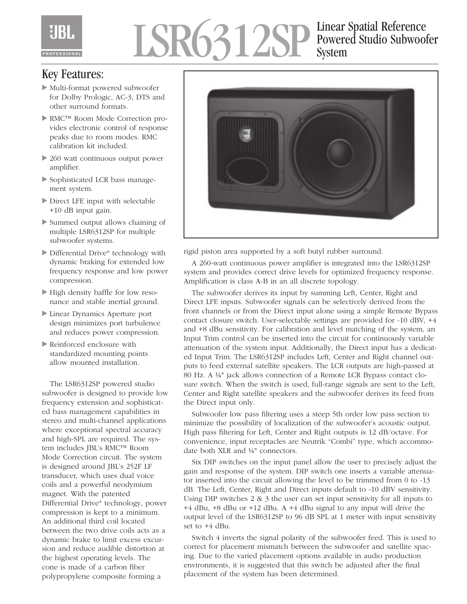# LSR6312SP Einear Spatial Reference System

### Key Features:

- Multi-format powered subwoofer for Dolby Prologic, AC-3, DTS and other surround formats.
- ▶ RMC™ Room Mode Correction provides electronic control of response peaks due to room modes. RMC calibration kit included.
- ▶ 260 watt continuous output power amplifier.
- Sophisticated LCR bass management system.
- Direct LFE input with selectable +10 dB input gain.
- Summed output allows chaining of multiple LSR6312SP for multiple subwoofer systems.
- ▶ Differential Drive<sup>®</sup> technology with dynamic braking for extended low frequency response and low power compression.
- High density baffle for low resonance and stable inertial ground.
- Linear Dynamics Aperture port design minimizes port turbulence and reduces power compression.
- Reinforced enclosure with standardized mounting points allow mounted installation.

The LSR6312SP powered studio subwoofer is designed to provide low frequency extension and sophisticated bass management capabilities in stereo and multi-channel applications where exceptional spectral accuracy and high-SPL are required. The system includes JBL's RMC™ Room Mode Correction circuit. The system is designed around JBL's 252F LF transducer, which uses dual voice coils and a powerful neodymium magnet. With the patented Differential Drive® technology, power compression is kept to a minimum. An additional third coil located between the two drive coils acts as a dynamic brake to limit excess excursion and reduce audible distortion at the highest operating levels. The cone is made of a carbon fiber polypropylene composite forming a



rigid piston area supported by a soft butyl rubber surround.

A 260-watt continuous power amplifier is integrated into the LSR6312SP system and provides correct drive levels for optimized frequency response. Amplification is class A-B in an all discrete topology.

The subwoofer derives its input by summing Left, Center, Right and Direct LFE inputs. Subwoofer signals can be selectively derived from the front channels or from the Direct input alone using a simple Remote Bypass contact closure switch. User-selectable settings are provided for -10 dBV, +4 and +8 dBu sensitivity. For calibration and level matching of the system, an Input Trim control can be inserted into the circuit for continuously variable attenuation of the system input. Additionally, the Direct input has a dedicated Input Trim. The LSR6312SP includes Left, Center and Right channel outputs to feed external satellite speakers. The LCR outputs are high-passed at 80 Hz. A ¼" jack allows connection of a Remote LCR Bypass contact closure switch. When the switch is used, full-range signals are sent to the Left, Center and Right satellite speakers and the subwoofer derives its feed from the Direct input only.

Subwoofer low pass filtering uses a steep 5th order low pass section to minimize the possibility of localization of the subwoofer's acoustic output. High pass filtering for Left, Center and Right outputs is 12 dB/octave. For convenience, input receptacles are Neutrik "Combi" type, which accommodate both XLR and ¼" connectors.

Six DIP switches on the input panel allow the user to precisely adjust the gain and response of the system. DIP switch one inserts a variable attenuator inserted into the circuit allowing the level to be trimmed from 0 to -13 dB. The Left, Center, Right and Direct inputs default to -10 dBV sensitivity. Using DIP switches 2 & 3 the user can set input sensitivity for all inputs to +4 dBu, +8 dBu or +12 dBu. A +4 dBu signal to any input will drive the output level of the LSR6312SP to 96 dB SPL at 1 meter with input sensitivity set to +4 dBu.

Switch 4 inverts the signal polarity of the subwoofer feed. This is used to correct for placement mismatch between the subwoofer and satellite spacing. Due to the varied placement options available in audio production environments, it is suggested that this switch be adjusted after the final placement of the system has been determined.

Powered Studio Subwoofer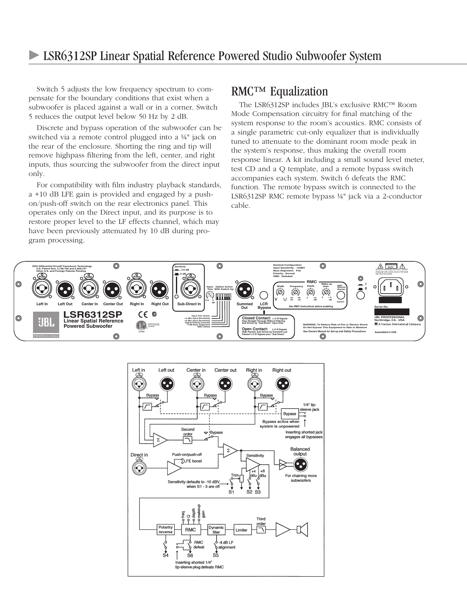#### LSR6312SP Linear Spatial Reference Powered Studio Subwoofer System

Switch 5 adjusts the low frequency spectrum to compensate for the boundary conditions that exist when a subwoofer is placed against a wall or in a corner. Switch 5 reduces the output level below 50 Hz by 2 dB.

Discrete and bypass operation of the subwoofer can be switched via a remote control plugged into a ¼" jack on the rear of the enclosure. Shorting the ring and tip will remove highpass filtering from the left, center, and right inputs, thus sourcing the subwoofer from the direct input only.

For compatibility with film industry playback standards, a +10 dB LFE gain is provided and engaged by a pushon/push-off switch on the rear electronics panel. This operates only on the Direct input, and its purpose is to restore proper level to the LF effects channel, which may have been previously attenuated by 10 dB during program processing.

### RMC™ Equalization

The LSR6312SP includes JBL's exclusive RMC™ Room Mode Compensation circuitry for final matching of the system response to the room's acoustics. RMC consists of a single parametric cut-only equalizer that is individually tuned to attenuate to the dominant room mode peak in the system's response, thus making the overall room response linear. A kit including a small sound level meter, test CD and a Q template, and a remote bypass switch accompanies each system. Switch 6 defeats the RMC function. The remote bypass switch is connected to the LSR6312SP RMC remote bypass ¼" jack via a 2-conductor cable.



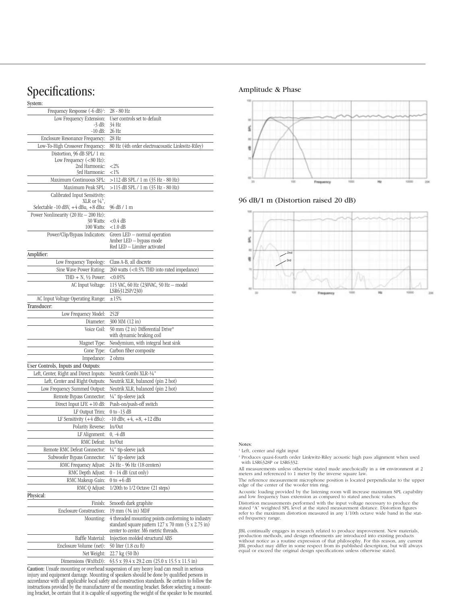## Specifications:

| System:                                                                      |                                                                                                                                                |
|------------------------------------------------------------------------------|------------------------------------------------------------------------------------------------------------------------------------------------|
| Frequency Response (-6 dB) <sup>1</sup> :                                    | 28 - 80 Hz                                                                                                                                     |
| Low Frequency Extension:                                                     | User controls set to default<br>34 Hz                                                                                                          |
| $-3$ dB:<br>$-10$ dB:                                                        | 26 Hz                                                                                                                                          |
| Enclosure Resonance Frequency:                                               | 28 Hz                                                                                                                                          |
| Low-To-High Crossover Frequency:                                             | 80 Hz (4th order electroacoustic Linkwitz-Riley)                                                                                               |
| Distortion, 96 dB SPL/ 1 m:                                                  |                                                                                                                                                |
| Low Frequency $(<\!80$ Hz):                                                  |                                                                                                                                                |
| 2nd Harmonic:<br>3rd Harmonic:                                               | ${<}2\%$<br>${<}1\%$                                                                                                                           |
| Maximum Continuous SPL:                                                      | >112 dB SPL / 1 m (35 Hz - 80 Hz)                                                                                                              |
| Maximum Peak SPL:                                                            | >115 dB SPL / 1 m (35 Hz - 80 Hz)                                                                                                              |
| Calibrated Input Sensitivity:                                                |                                                                                                                                                |
| XLR or $\frac{1}{4}$ ",                                                      |                                                                                                                                                |
| Selectable -10 dBV, +4 dBu, +8 dBu:                                          | 96 dB / 1 m                                                                                                                                    |
| Power Nonlinearity (20 Hz - 200 Hz):<br>30 Watts:                            | $<$ 0.4 dB                                                                                                                                     |
| 100 Watts:                                                                   | $<$ 1.0 dB                                                                                                                                     |
| Power/Clip/Bypass Indicators:                                                | Green LED - normal operation                                                                                                                   |
|                                                                              | Amber LED - bypass mode                                                                                                                        |
|                                                                              | Red LED - Limiter activated                                                                                                                    |
| Amplifier:                                                                   |                                                                                                                                                |
| Low Frequency Topology:                                                      | Class A-B, all discrete                                                                                                                        |
| Sine Wave Power Rating:                                                      | 260 watts (<0.5% THD into rated impedance)                                                                                                     |
| THD $+ N$ , $1/2$ Power:<br>AC Input Voltage:                                | $< 0.05\%$<br>115 VAC, 60 Hz (230VAC, 50 Hz - model                                                                                            |
|                                                                              | LSR6312SP/230)                                                                                                                                 |
| AC Input Voltage Operating Range:                                            | $\pm 15\%$                                                                                                                                     |
| Transducer:                                                                  |                                                                                                                                                |
| Low Frequency Model:                                                         | 252F                                                                                                                                           |
| Diameter:                                                                    | 300 MM (12 in)                                                                                                                                 |
| Voice Coil:                                                                  | 50 mm (2 in) Differential Drive®                                                                                                               |
|                                                                              | with dynamic braking coil                                                                                                                      |
| Magnet Type:                                                                 | Neodymium, with integral heat sink                                                                                                             |
| Cone Type:                                                                   | Carbon fiber composite                                                                                                                         |
| Impedance:                                                                   | 2 ohms                                                                                                                                         |
| User Controls, Inputs and Outputs:<br>Left, Center, Right and Direct Inputs: | Neutrik Combi XLR-1/4"                                                                                                                         |
| Left, Center and Right Outputs:                                              | Neutrik XLR, balanced (pin 2 hot)                                                                                                              |
| Low Frequency Summed Output:                                                 | Neutrik XLR, balanced (pin 2 hot)                                                                                                              |
| Remote Bypass Connector:                                                     | 1/4" tip-sleeve jack                                                                                                                           |
| Direct Input LFE $+10$ dB:                                                   | Push-on/push-off switch                                                                                                                        |
| LF Output Trim:                                                              | $0$ to $-13$ dB                                                                                                                                |
| LF Sensitivity (+4 dBu):                                                     | $-10$ dBv, $+4$ , $+8$ , $+12$ dBu                                                                                                             |
| Polarity Reverse:                                                            | In/Out                                                                                                                                         |
| LF Alignment:                                                                | $0, -4$ dB                                                                                                                                     |
| RMC Defeat:                                                                  | In/Out                                                                                                                                         |
| Remote RMC Defeat Connector:                                                 | 1/4" tip-sleeve jack                                                                                                                           |
| Subwoofer Bypass Connector:                                                  | 1/4" tip-sleeve jack                                                                                                                           |
| RMC Frequency Adjust:                                                        | 24 Hz - 96 Hz (18 centers)                                                                                                                     |
| RMC Depth Adjust:                                                            | $0 - 14$ dB (cut only)                                                                                                                         |
| RMC Makeup Gain:                                                             | $0$ to $+6$ dB                                                                                                                                 |
| RMC Q Adjust:                                                                | 1/20th to 1/2 Octave (21 steps)                                                                                                                |
| Physical:                                                                    |                                                                                                                                                |
| Finish:                                                                      | Smooth dark graphite                                                                                                                           |
| <b>Enclosure Construction:</b>                                               | 19 mm (3⁄4 in) MDF                                                                                                                             |
| Mounting:                                                                    | 4 threaded mounting points conforming to industry<br>standard square pattern 127 x 70 mm (5 x 2.75 in)<br>center to center. M6 metric threads. |
| Baffle Material:                                                             | Injection molded structural ABS                                                                                                                |
| Enclosure Volume (net):                                                      | 50 liter (1.8 cu ft)                                                                                                                           |
| Net Weight:                                                                  | 22.7 kg (50 lb)                                                                                                                                |
| Dimensions (WxHxD):                                                          | 63.5 x 39.4 x 29.2 cm (25.0 x 15.5 x 11.5 in)                                                                                                  |

Caution: Unsafe mounting or overhead suspension of any heavy load can result in serious injury and equipment damage. Mounting of speakers should be done by qualified persons in accordance with all applicable local safety and construction standards. Be certain to follow the instructions provided by the manufacturer of the mounting bracket. Before selecting a mounting bracket, be certain that it is capable of supporting the weight of the speaker to be mounted.

#### Amplitude & Phase



96 dB/1 m (Distortion raised 20 dB)



#### Notes:

<sup>1</sup> Left, center and right input

<sup>2</sup> Produces quasi-fourth order Linkwitz-Riley acoustic high pass alignment when used with LSR6328P or LSR6332.

All measurements unless otherwise stated made anechoically in a  $4\pi$  environment at 2 meters and referenced to 1 meter by the inverse square law.

The reference measurement microphone position is located perpendicular to the upper edge of the center of the woofer trim ring.

Acoustic loading provided by the listening room will increase maximum SPL capability and low frequency bass extension as compared to stated anechoic values.

Distortion measurements performed with the input voltage necessary to produce the stated "A" weighted SPL level at the stated measurement distance. Distortion figures refer to the maximum distortion measured in any 1/10th

JBL continually engages in research related to produce improvement. New materials, production methods, and design refinements are introduced into existing products without notice as a routine expression of that philosophy.